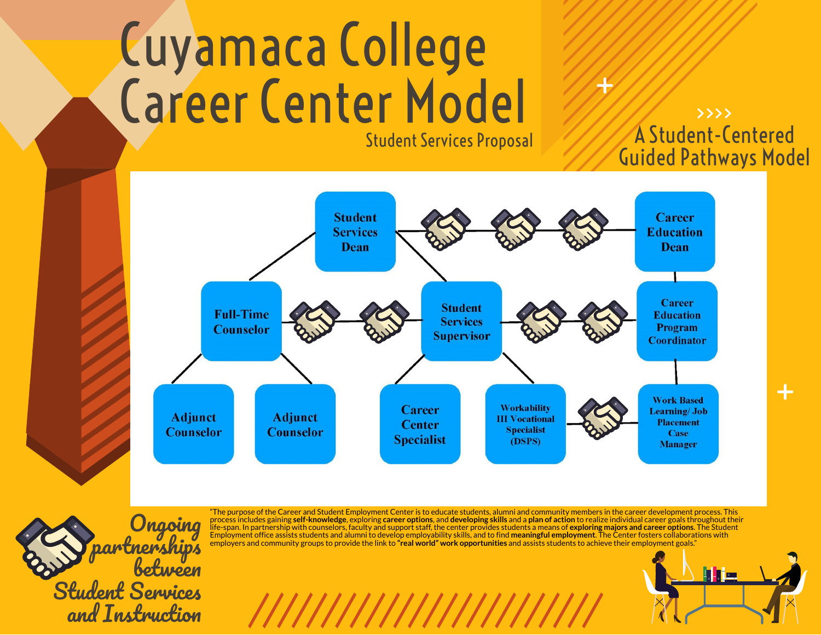# Cuyamaca College Career Center Model Will Student Services Proposal

# A Student-Centered Guided Pathways Model





"The purposeof the Career and Student Employment Center is toeducate students, alumni and community members inthe career development process. This process includes gaining **self-knowledge**, exploring **career options**, and **developing skills** and a **plan of action** torealize individual career goals throughout their life-span. Inpartnership withcounselors, faculty and support staff, the center provides students a meansof **exploring majors and career options**. The Student Employmentoffice assists students and alumni to develop employability skills, and tofind **meaningful employment**. The Center fosters collaborations with employers and community groups toprovide the link to**"real world" work opportunities** and assists students toachieve their employment goals."

///////////////////////////

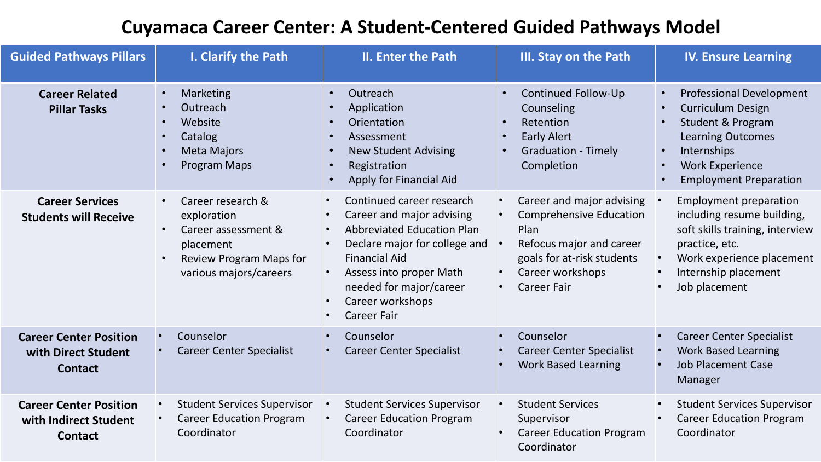# **Cuyamaca Career Center: A Student-Centered Guided Pathways Model**

| <b>Guided Pathways Pillars</b>                                           | I. Clarify the Path                                                                                                                                                    | <b>II. Enter the Path</b>                                                                                                                                                                                                                                                                                             | III. Stay on the Path                                                                                                                                                                                                       | <b>IV. Ensure Learning</b>                                                                                                                                                                                                                                                      |
|--------------------------------------------------------------------------|------------------------------------------------------------------------------------------------------------------------------------------------------------------------|-----------------------------------------------------------------------------------------------------------------------------------------------------------------------------------------------------------------------------------------------------------------------------------------------------------------------|-----------------------------------------------------------------------------------------------------------------------------------------------------------------------------------------------------------------------------|---------------------------------------------------------------------------------------------------------------------------------------------------------------------------------------------------------------------------------------------------------------------------------|
| <b>Career Related</b><br><b>Pillar Tasks</b>                             | Marketing<br>$\bullet$<br>Outreach<br>$\bullet$<br>Website<br>$\bullet$<br>Catalog<br>$\bullet$<br><b>Meta Majors</b><br>$\bullet$<br><b>Program Maps</b><br>$\bullet$ | Outreach<br>$\bullet$<br>Application<br>Orientation<br>Assessment<br><b>New Student Advising</b><br>Registration<br>Apply for Financial Aid                                                                                                                                                                           | Continued Follow-Up<br>Counseling<br>Retention<br>$\bullet$<br><b>Early Alert</b><br><b>Graduation - Timely</b><br>Completion                                                                                               | <b>Professional Development</b><br>$\bullet$<br><b>Curriculum Design</b><br>$\bullet$<br><b>Student &amp; Program</b><br>$\bullet$<br><b>Learning Outcomes</b><br>Internships<br>$\bullet$<br><b>Work Experience</b><br>$\bullet$<br><b>Employment Preparation</b><br>$\bullet$ |
| <b>Career Services</b><br><b>Students will Receive</b>                   | Career research &<br>$\bullet$<br>exploration<br>Career assessment &<br>$\bullet$<br>placement<br>Review Program Maps for<br>$\bullet$<br>various majors/careers       | Continued career research<br>$\bullet$<br>Career and major advising<br>$\bullet$<br><b>Abbreviated Education Plan</b><br>$\bullet$<br>Declare major for college and<br>$\bullet$<br><b>Financial Aid</b><br>Assess into proper Math<br>needed for major/career<br>Career workshops<br>$\bullet$<br><b>Career Fair</b> | Career and major advising<br>$\bullet$<br><b>Comprehensive Education</b><br>$\bullet$<br>Plan<br>Refocus major and career<br>goals for at-risk students<br>Career workshops<br>$\bullet$<br><b>Career Fair</b><br>$\bullet$ | <b>Employment preparation</b><br>including resume building,<br>soft skills training, interview<br>practice, etc.<br>Work experience placement<br>$\bullet$<br>Internship placement<br>$\bullet$<br>Job placement                                                                |
| <b>Career Center Position</b><br>with Direct Student<br><b>Contact</b>   | Counselor<br><b>Career Center Specialist</b>                                                                                                                           | Counselor<br><b>Career Center Specialist</b>                                                                                                                                                                                                                                                                          | Counselor<br>$\bullet$<br><b>Career Center Specialist</b><br>$\bullet$<br><b>Work Based Learning</b>                                                                                                                        | <b>Career Center Specialist</b><br>$\bullet$<br><b>Work Based Learning</b><br>$\bullet$<br><b>Job Placement Case</b><br>Manager                                                                                                                                                 |
| <b>Career Center Position</b><br>with Indirect Student<br><b>Contact</b> | <b>Student Services Supervisor</b><br><b>Career Education Program</b><br>Coordinator                                                                                   | <b>Student Services Supervisor</b><br><b>Career Education Program</b><br>Coordinator                                                                                                                                                                                                                                  | <b>Student Services</b><br>$\bullet$<br>Supervisor<br><b>Career Education Program</b><br>$\bullet$<br>Coordinator                                                                                                           | <b>Student Services Supervisor</b><br><b>Career Education Program</b><br>Coordinator                                                                                                                                                                                            |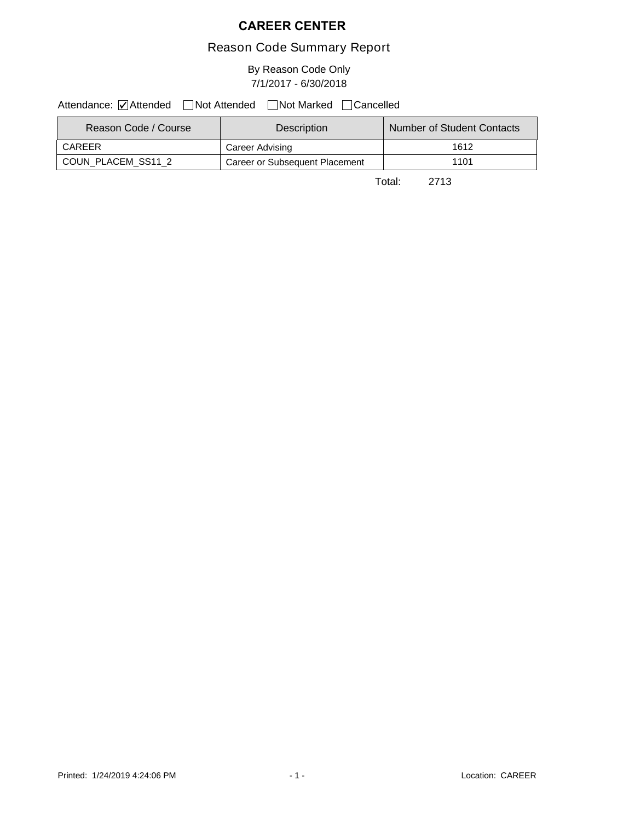#### **CAREER CENTER**

#### Reason Code Summary Report

By Reason Code Only 7/1/2017 - 6/30/2018

Attendance: ØAttended Not Attended Not Marked Cancelled

| Reason Code / Course | <b>Description</b>             | Number of Student Contacts |
|----------------------|--------------------------------|----------------------------|
| CAREER               | Career Advising                | 1612                       |
| COUN PLACEM SS11 2   | Career or Subsequent Placement | 1101                       |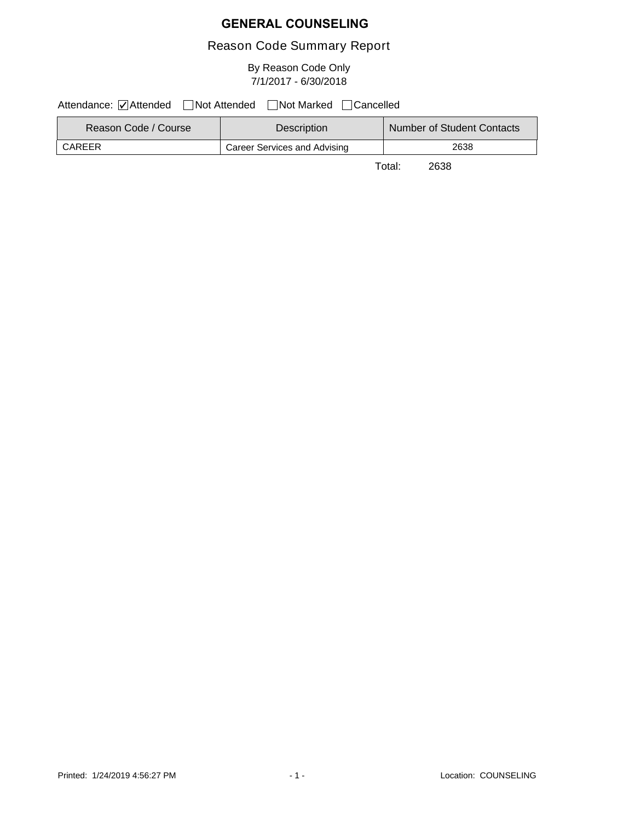#### **GENERAL COUNSELING**

#### Reason Code Summary Report

By Reason Code Only 7/1/2017 - 6/30/2018

Attendance: ØAttended Not Attended Not Marked Cancelled

| Reason Code / Course | <b>Description</b>                  | Number of Student Contacts |
|----------------------|-------------------------------------|----------------------------|
| CAREER               | <b>Career Services and Advising</b> | 2638                       |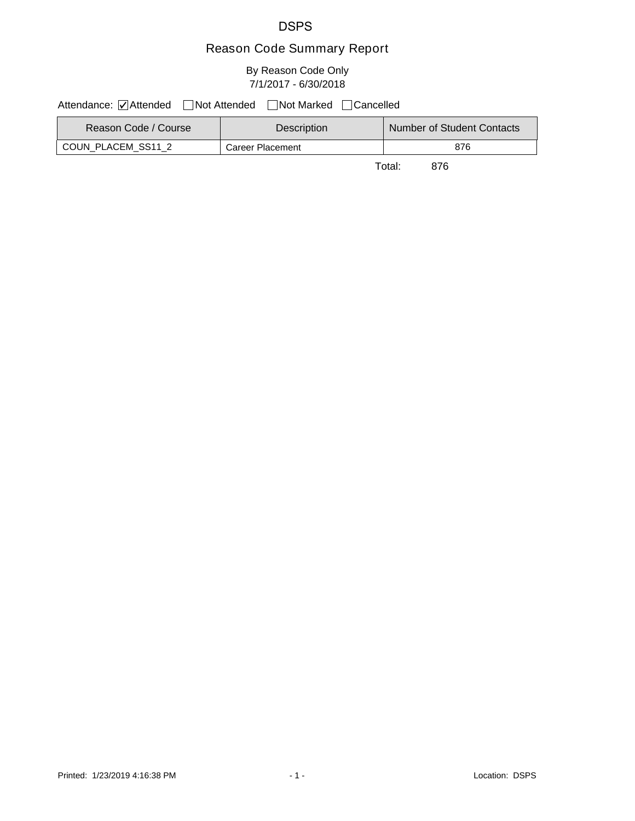#### DSPS

## Reason Code Summary Report

#### By Reason Code Only 7/1/2017 - 6/30/2018

Attendance: ØAttended Not Attended Not Marked Cancelled

| Reason Code / Course | <b>Description</b> | Number of Student Contacts |
|----------------------|--------------------|----------------------------|
| COUN PLACEM SS11 2   | Career Placement   | 876                        |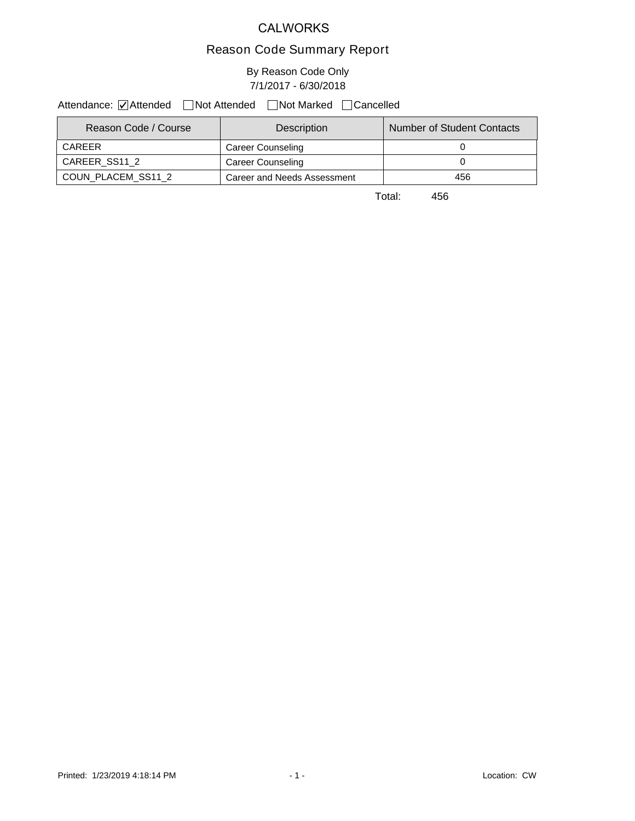#### CALWORKS

#### Reason Code Summary Report

#### By Reason Code Only 7/1/2017 - 6/30/2018

Attendance: ØAttended Not Attended Not Marked Cancelled

| Reason Code / Course | Description                 | Number of Student Contacts |
|----------------------|-----------------------------|----------------------------|
| CARFFR               | Career Counseling           |                            |
| CAREER SS11 2        | Career Counseling           |                            |
| COUN PLACEM SS11 2   | Career and Needs Assessment | 456                        |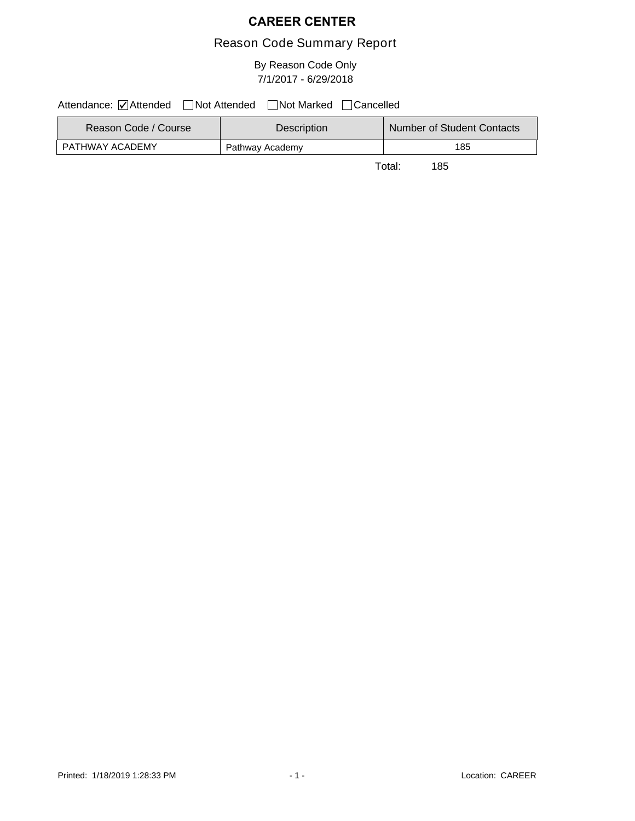#### **CAREER CENTER**

#### Reason Code Summary Report

#### By Reason Code Only 7/1/2017 - 6/29/2018

Attendance: ØAttended Not Attended Not Marked Cancelled

| Reason Code / Course | <b>Description</b> | Number of Student Contacts |
|----------------------|--------------------|----------------------------|
| PATHWAY ACADEMY      | Pathway Academy    | 185                        |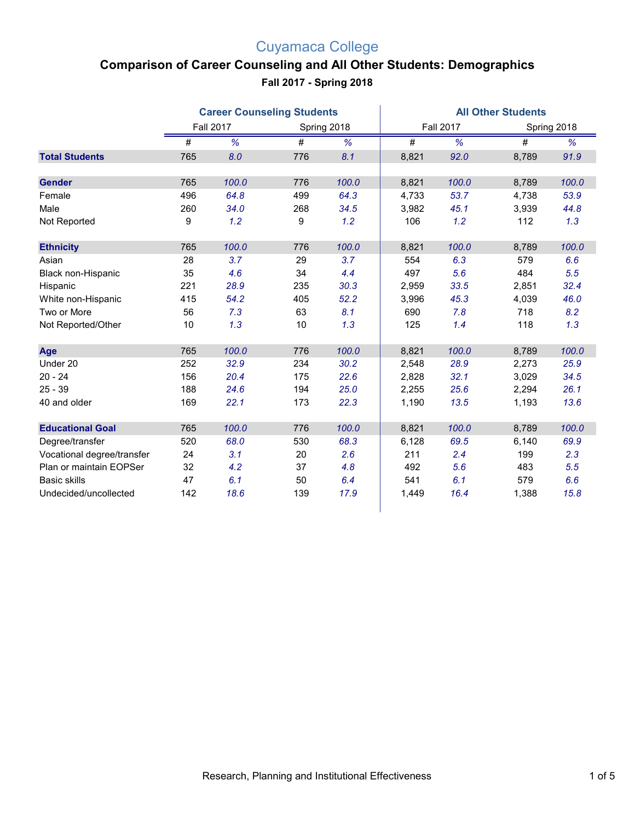## Cuyamaca College

# **Comparison of Career Counseling and All Other Students: Demographics**

**Fall 2017 - Spring 2018**

|                            |     | <b>Career Counseling Students</b> |                 |             | <b>All Other Students</b> |                  |                 |             |  |
|----------------------------|-----|-----------------------------------|-----------------|-------------|---------------------------|------------------|-----------------|-------------|--|
|                            |     | <b>Fall 2017</b>                  |                 | Spring 2018 |                           | <b>Fall 2017</b> |                 | Spring 2018 |  |
|                            | #   | %                                 | $\overline{\#}$ | %           | #                         | %                | $\overline{\#}$ | %           |  |
| <b>Total Students</b>      | 765 | 8.0                               | 776             | 8.1         | 8,821                     | 92.0             | 8,789           | 91.9        |  |
| <b>Gender</b>              | 765 | 100.0                             | 776             | 100.0       | 8,821                     | 100.0            | 8,789           | 100.0       |  |
| Female                     | 496 | 64.8                              | 499             | 64.3        | 4,733                     | 53.7             | 4,738           | 53.9        |  |
| Male                       | 260 | 34.0                              | 268             | 34.5        | 3,982                     | 45.1             | 3,939           | 44.8        |  |
| Not Reported               | 9   | 1.2                               | 9               | 1.2         | 106                       | 1.2              | 112             | 1.3         |  |
| <b>Ethnicity</b>           | 765 | 100.0                             | 776             | 100.0       | 8,821                     | 100.0            | 8,789           | 100.0       |  |
| Asian                      | 28  | 3.7                               | 29              | 3.7         | 554                       | 6.3              | 579             | 6.6         |  |
| Black non-Hispanic         | 35  | 4.6                               | 34              | 4.4         | 497                       | 5.6              | 484             | 5.5         |  |
| Hispanic                   | 221 | 28.9                              | 235             | 30.3        | 2,959                     | 33.5             | 2,851           | 32.4        |  |
| White non-Hispanic         | 415 | 54.2                              | 405             | 52.2        | 3,996                     | 45.3             | 4,039           | 46.0        |  |
| Two or More                | 56  | 7.3                               | 63              | 8.1         | 690                       | 7.8              | 718             | 8.2         |  |
| Not Reported/Other         | 10  | 1.3                               | 10              | 1.3         | 125                       | 1.4              | 118             | 1.3         |  |
| Age                        | 765 | 100.0                             | 776             | 100.0       | 8,821                     | 100.0            | 8,789           | 100.0       |  |
| Under 20                   | 252 | 32.9                              | 234             | 30.2        | 2,548                     | 28.9             | 2,273           | 25.9        |  |
| $20 - 24$                  | 156 | 20.4                              | 175             | 22.6        | 2,828                     | 32.1             | 3,029           | 34.5        |  |
| $25 - 39$                  | 188 | 24.6                              | 194             | 25.0        | 2,255                     | 25.6             | 2,294           | 26.1        |  |
| 40 and older               | 169 | 22.1                              | 173             | 22.3        | 1,190                     | 13.5             | 1,193           | 13.6        |  |
| <b>Educational Goal</b>    | 765 | 100.0                             | 776             | 100.0       | 8,821                     | 100.0            | 8,789           | 100.0       |  |
| Degree/transfer            | 520 | 68.0                              | 530             | 68.3        | 6,128                     | 69.5             | 6,140           | 69.9        |  |
| Vocational degree/transfer | 24  | 3.1                               | 20              | 2.6         | 211                       | 2.4              | 199             | 2.3         |  |
| Plan or maintain EOPSer    | 32  | 4.2                               | 37              | 4.8         | 492                       | 5.6              | 483             | 5.5         |  |
| <b>Basic skills</b>        | 47  | 6.1                               | 50              | 6.4         | 541                       | 6.1              | 579             | 6.6         |  |
| Undecided/uncollected      | 142 | 18.6                              | 139             | 17.9        | 1,449                     | 16.4             | 1,388           | 15.8        |  |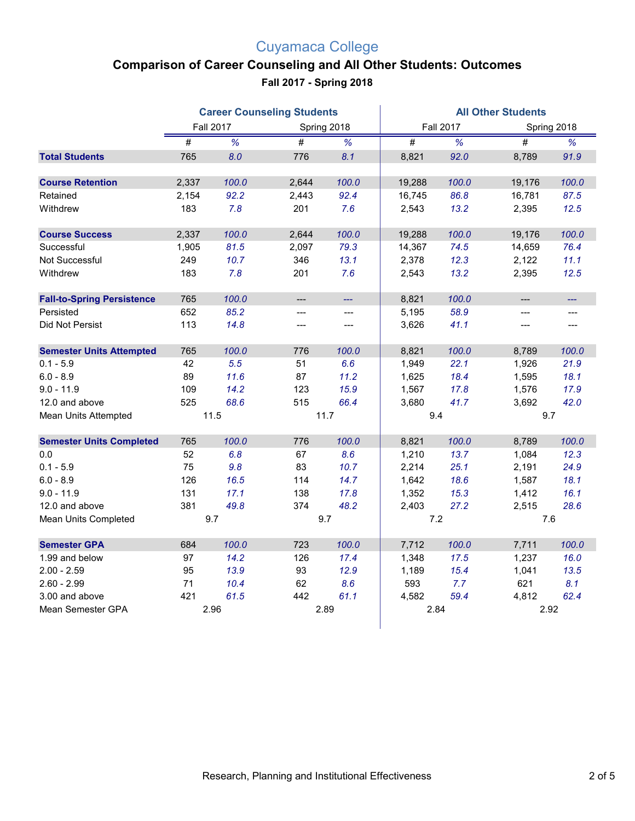## Cuyamaca College

#### **Comparison of Career Counseling and All Other Students: Outcomes**

**Fall 2017 - Spring 2018**

|                                   |       |                  | <b>Career Counseling Students</b> |                          | <b>All Other Students</b> |                          |                     |             |  |
|-----------------------------------|-------|------------------|-----------------------------------|--------------------------|---------------------------|--------------------------|---------------------|-------------|--|
|                                   |       | <b>Fall 2017</b> | Spring 2018                       |                          |                           | <b>Fall 2017</b>         |                     | Spring 2018 |  |
|                                   | #     | %                | $\overline{\#}$                   | $\overline{\frac{9}{6}}$ | $\overline{\#}$           | $\overline{\frac{9}{6}}$ | #                   | %           |  |
| <b>Total Students</b>             | 765   | 8.0              | 776                               | 8.1                      | 8,821                     | 92.0                     | 8,789               | 91.9        |  |
| <b>Course Retention</b>           | 2,337 | 100.0            | 2,644                             | 100.0                    | 19,288                    | 100.0                    | 19,176              | 100.0       |  |
| Retained                          | 2,154 | 92.2             | 2,443                             | 92.4                     | 16,745                    | 86.8                     | 16,781              | 87.5        |  |
| Withdrew                          | 183   | 7.8              | 201                               | 7.6                      | 2,543                     | 13.2                     | 2,395               | 12.5        |  |
| <b>Course Success</b>             | 2,337 | 100.0            | 2,644                             | 100.0                    | 19,288                    | 100.0                    | 19,176              | 100.0       |  |
| Successful                        | 1,905 | 81.5             | 2,097                             | 79.3                     | 14,367                    | 74.5                     | 14,659              | 76.4        |  |
| Not Successful                    | 249   | 10.7             | 346                               | 13.1                     | 2,378                     | 12.3                     | 2,122               | 11.1        |  |
| Withdrew                          | 183   | 7.8              | 201                               | 7.6                      | 2,543                     | 13.2                     | 2,395               | 12.5        |  |
| <b>Fall-to-Spring Persistence</b> | 765   | 100.0            | ---                               | шш.                      | 8,821                     | 100.0                    | $---$               | ---         |  |
| Persisted                         | 652   | 85.2             | ---                               | ---                      | 5,195                     | 58.9                     | $---$               |             |  |
| Did Not Persist                   | 113   | 14.8             | ---                               | $\hspace{0.05cm} \ldots$ | 3,626                     | 41.1                     | $\qquad \qquad - -$ | $---$       |  |
| <b>Semester Units Attempted</b>   | 765   | 100.0            | 776                               | 100.0                    | 8,821                     | 100.0                    | 8,789               | 100.0       |  |
| $0.1 - 5.9$                       | 42    | 5.5              | 51                                | 6.6                      | 1,949                     | 22.1                     | 1,926               | 21.9        |  |
| $6.0 - 8.9$                       | 89    | 11.6             | 87                                | 11.2                     | 1,625                     | 18.4                     | 1,595               | 18.1        |  |
| $9.0 - 11.9$                      | 109   | 14.2             | 123                               | 15.9                     | 1,567                     | 17.8                     | 1,576               | 17.9        |  |
| 12.0 and above                    | 525   | 68.6             | 515                               | 66.4                     | 3,680                     | 41.7                     | 3,692               | 42.0        |  |
| Mean Units Attempted              |       | 11.5             | 11.7                              |                          | 9.4                       |                          | 9.7                 |             |  |
| <b>Semester Units Completed</b>   | 765   | 100.0            | 776                               | 100.0                    | 8,821                     | 100.0                    | 8,789               | 100.0       |  |
| $0.0\,$                           | 52    | 6.8              | 67                                | 8.6                      | 1,210                     | 13.7                     | 1,084               | 12.3        |  |
| $0.1 - 5.9$                       | 75    | 9.8              | 83                                | 10.7                     | 2,214                     | 25.1                     | 2,191               | 24.9        |  |
| $6.0 - 8.9$                       | 126   | 16.5             | 114                               | 14.7                     | 1,642                     | 18.6                     | 1,587               | 18.1        |  |
| $9.0 - 11.9$                      | 131   | 17.1             | 138                               | 17.8                     | 1,352                     | 15.3                     | 1,412               | 16.1        |  |
| 12.0 and above                    | 381   | 49.8             | 374                               | 48.2                     | 2,403                     | 27.2                     | 2,515               | 28.6        |  |
| Mean Units Completed              |       | 9.7              | 9.7                               |                          | 7.2                       |                          | 7.6                 |             |  |
| <b>Semester GPA</b>               | 684   | 100.0            | 723                               | 100.0                    | 7,712                     | 100.0                    | 7,711               | 100.0       |  |
| 1.99 and below                    | 97    | 14.2             | 126                               | 17.4                     | 1,348                     | 17.5                     | 1,237               | 16.0        |  |
| $2.00 - 2.59$                     | 95    | 13.9             | 93                                | 12.9                     | 1,189                     | 15.4                     | 1,041               | 13.5        |  |
| $2.60 - 2.99$                     | 71    | 10.4             | 62                                | 8.6                      | 593                       | 7.7                      | 621                 | 8.1         |  |
| 3.00 and above                    | 421   | 61.5             | 442                               | 61.1                     | 4,582                     | 59.4                     | 4,812               | 62.4        |  |
| Mean Semester GPA                 |       | 2.96             | 2.89                              |                          | 2.84                      |                          | 2.92                |             |  |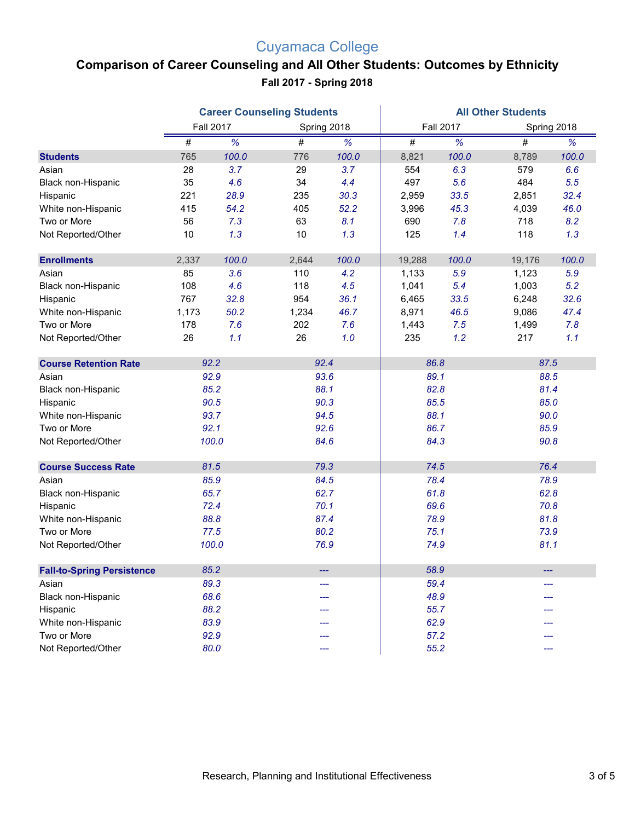## Cuyamaca College

#### **Comparison of Career Counseling and All Other Students: Outcomes by Ethnicity Fall 2017 - Spring 2018**

|                                   |       |                  | <b>Career Counseling Students</b> |       | <b>All Other Students</b> |                  |        |             |  |
|-----------------------------------|-------|------------------|-----------------------------------|-------|---------------------------|------------------|--------|-------------|--|
|                                   |       | <b>Fall 2017</b> | Spring 2018                       |       |                           | <b>Fall 2017</b> |        | Spring 2018 |  |
|                                   | #     | %                | #                                 | %     | $\#$                      | %                | $\#$   | %           |  |
| <b>Students</b>                   | 765   | 100.0            | 776                               | 100.0 | 8,821                     | 100.0            | 8,789  | 100.0       |  |
| Asian                             | 28    | 3.7              | 29                                | 3.7   | 554                       | 6.3              | 579    | 6.6         |  |
| Black non-Hispanic                | 35    | 4.6              | 34                                | 4.4   | 497                       | 5.6              | 484    | 5.5         |  |
| Hispanic                          | 221   | 28.9             | 235                               | 30.3  | 2,959                     | 33.5             | 2,851  | 32.4        |  |
| White non-Hispanic                | 415   | 54.2             | 405                               | 52.2  | 3,996                     | 45.3             | 4,039  | 46.0        |  |
| Two or More                       | 56    | 7.3              | 63                                | 8.1   | 690                       | 7.8              | 718    | 8.2         |  |
| Not Reported/Other                | $10$  | 1.3              | 10                                | 1.3   | 125                       | 1.4              | 118    | 1.3         |  |
|                                   |       |                  |                                   |       |                           |                  |        |             |  |
| <b>Enrollments</b>                | 2,337 | 100.0            | 2,644                             | 100.0 | 19,288                    | 100.0            | 19,176 | 100.0       |  |
| Asian                             | 85    | 3.6              | 110                               | 4.2   | 1,133                     | 5.9              | 1,123  | 5.9         |  |
| Black non-Hispanic                | 108   | 4.6              | 118                               | 4.5   | 1,041                     | 5.4              | 1,003  | 5.2         |  |
| Hispanic                          | 767   | 32.8             | 954                               | 36.1  | 6,465                     | 33.5             | 6,248  | 32.6        |  |
| White non-Hispanic                | 1,173 | 50.2             | 1,234                             | 46.7  | 8,971                     | 46.5             | 9,086  | 47.4        |  |
| Two or More                       | 178   | 7.6              | 202                               | 7.6   | 1,443                     | 7.5              | 1,499  | 7.8         |  |
| Not Reported/Other                | 26    | 1.1              | 26                                | 1.0   | 235                       | 1.2              | 217    | 1.1         |  |
| <b>Course Retention Rate</b>      | 92.2  |                  | 92.4                              |       | 86.8                      |                  | 87.5   |             |  |
| Asian                             | 92.9  |                  | 93.6                              |       | 89.1                      |                  | 88.5   |             |  |
| Black non-Hispanic                | 85.2  |                  | 88.1                              |       | 82.8                      |                  | 81.4   |             |  |
| Hispanic                          | 90.5  |                  | 90.3                              |       | 85.5                      |                  | 85.0   |             |  |
| White non-Hispanic                | 93.7  |                  | 94.5                              |       | 88.1                      |                  | 90.0   |             |  |
| Two or More                       | 92.1  |                  | 92.6                              |       | 86.7                      |                  | 85.9   |             |  |
| Not Reported/Other                |       | 100.0            | 84.6                              |       | 84.3                      |                  | 90.8   |             |  |
| <b>Course Success Rate</b>        | 81.5  |                  | 79.3                              |       | 74.5                      |                  | 76.4   |             |  |
| Asian                             | 85.9  |                  | 84.5                              |       | 78.4                      |                  | 78.9   |             |  |
| Black non-Hispanic                | 65.7  |                  | 62.7                              |       | 61.8                      |                  | 62.8   |             |  |
| Hispanic                          | 72.4  |                  | 70.1                              |       |                           | 69.6             |        | 70.8        |  |
| White non-Hispanic                | 88.8  |                  | 87.4                              |       | 78.9                      |                  | 81.8   |             |  |
| Two or More                       |       | 77.5             | 80.2                              |       | 75.1                      |                  | 73.9   |             |  |
| Not Reported/Other                |       | 100.0            | 76.9                              |       | 74.9                      |                  | 81.1   |             |  |
| <b>Fall-to-Spring Persistence</b> | 85.2  |                  |                                   |       | 58.9                      |                  |        |             |  |
|                                   | 89.3  |                  |                                   |       | 59.4                      |                  |        |             |  |
| Asian<br>Black non-Hispanic       | 68.6  |                  | ---                               |       | 48.9                      |                  |        |             |  |
|                                   |       | 88.2             | ---                               |       | 55.7                      |                  |        |             |  |
| Hispanic<br>White non-Hispanic    | 83.9  |                  |                                   |       | 62.9                      |                  |        |             |  |
| Two or More                       | 92.9  |                  |                                   |       | 57.2                      |                  |        |             |  |
| Not Reported/Other                |       | 80.0             |                                   |       | 55.2                      |                  |        |             |  |
|                                   |       |                  |                                   |       |                           |                  |        |             |  |